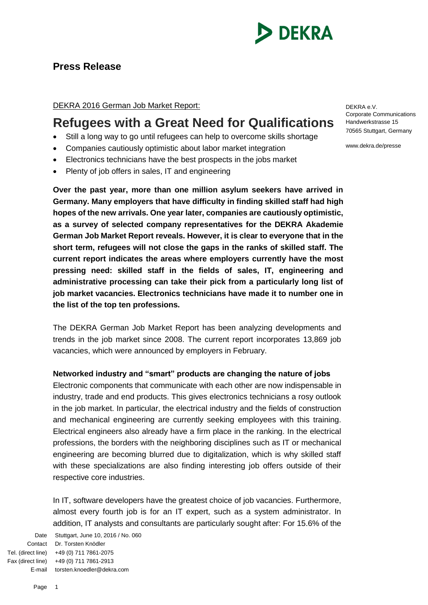

# **Press Release**

# DEKRA 2016 German Job Market Report:

# **Refugees with a Great Need for Qualifications**

- Still a long way to go until refugees can help to overcome skills shortage
- Companies cautiously optimistic about labor market integration
- Electronics technicians have the best prospects in the jobs market
- Plenty of job offers in sales, IT and engineering

**Over the past year, more than one million asylum seekers have arrived in Germany. Many employers that have difficulty in finding skilled staff had high hopes of the new arrivals. One year later, companies are cautiously optimistic, as a survey of selected company representatives for the DEKRA Akademie German Job Market Report reveals. However, it is clear to everyone that in the short term, refugees will not close the gaps in the ranks of skilled staff. The current report indicates the areas where employers currently have the most pressing need: skilled staff in the fields of sales, IT, engineering and administrative processing can take their pick from a particularly long list of job market vacancies. Electronics technicians have made it to number one in the list of the top ten professions.** 

The DEKRA German Job Market Report has been analyzing developments and trends in the job market since 2008. The current report incorporates 13,869 job vacancies, which were announced by employers in February.

#### **Networked industry and "smart" products are changing the nature of jobs**

Electronic components that communicate with each other are now indispensable in industry, trade and end products. This gives electronics technicians a rosy outlook in the job market. In particular, the electrical industry and the fields of construction and mechanical engineering are currently seeking employees with this training. Electrical engineers also already have a firm place in the ranking. In the electrical professions, the borders with the neighboring disciplines such as IT or mechanical engineering are becoming blurred due to digitalization, which is why skilled staff with these specializations are also finding interesting job offers outside of their respective core industries.

In IT, software developers have the greatest choice of job vacancies. Furthermore, almost every fourth job is for an IT expert, such as a system administrator. In addition, IT analysts and consultants are particularly sought after: For 15.6% of the

Date Stuttgart, June 10, 2016 / No. 060 Contact Dr. Torsten Knödler Tel. (direct line) +49 (0) 711 7861-2075 Fax (direct line) +49 (0) 711 7861-2913 E-mail torsten.knoedler@dekra.com

DEKRA e.V. Corporate Communications Handwerkstrasse 15 70565 Stuttgart, Germany

www.dekra.de/presse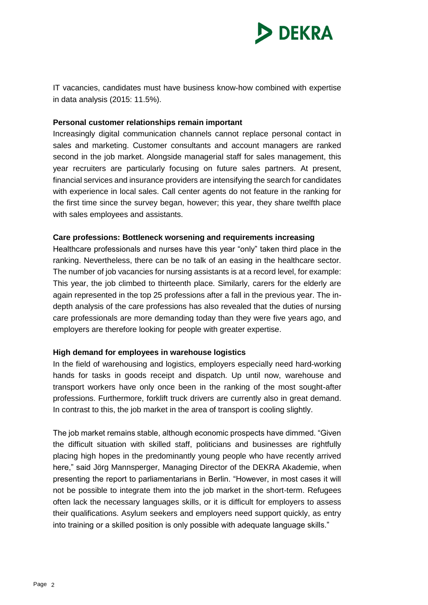

IT vacancies, candidates must have business know-how combined with expertise in data analysis (2015: 11.5%).

#### **Personal customer relationships remain important**

Increasingly digital communication channels cannot replace personal contact in sales and marketing. Customer consultants and account managers are ranked second in the job market. Alongside managerial staff for sales management, this year recruiters are particularly focusing on future sales partners. At present, financial services and insurance providers are intensifying the search for candidates with experience in local sales. Call center agents do not feature in the ranking for the first time since the survey began, however; this year, they share twelfth place with sales employees and assistants.

#### **Care professions: Bottleneck worsening and requirements increasing**

Healthcare professionals and nurses have this year "only" taken third place in the ranking. Nevertheless, there can be no talk of an easing in the healthcare sector. The number of job vacancies for nursing assistants is at a record level, for example: This year, the job climbed to thirteenth place. Similarly, carers for the elderly are again represented in the top 25 professions after a fall in the previous year. The indepth analysis of the care professions has also revealed that the duties of nursing care professionals are more demanding today than they were five years ago, and employers are therefore looking for people with greater expertise.

# **High demand for employees in warehouse logistics**

In the field of warehousing and logistics, employers especially need hard-working hands for tasks in goods receipt and dispatch. Up until now, warehouse and transport workers have only once been in the ranking of the most sought-after professions. Furthermore, forklift truck drivers are currently also in great demand. In contrast to this, the job market in the area of transport is cooling slightly.

The job market remains stable, although economic prospects have dimmed. "Given the difficult situation with skilled staff, politicians and businesses are rightfully placing high hopes in the predominantly young people who have recently arrived here," said Jörg Mannsperger, Managing Director of the DEKRA Akademie, when presenting the report to parliamentarians in Berlin. "However, in most cases it will not be possible to integrate them into the job market in the short-term. Refugees often lack the necessary languages skills, or it is difficult for employers to assess their qualifications. Asylum seekers and employers need support quickly, as entry into training or a skilled position is only possible with adequate language skills."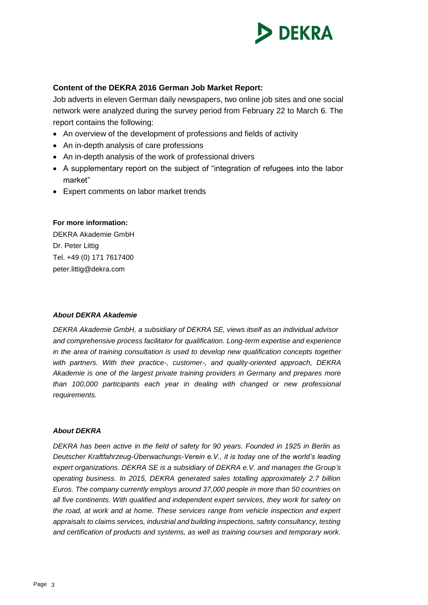

### **Content of the DEKRA 2016 German Job Market Report:**

Job adverts in eleven German daily newspapers, two online job sites and one social network were analyzed during the survey period from February 22 to March 6. The report contains the following:

- An overview of the development of professions and fields of activity
- An in-depth analysis of care professions
- An in-depth analysis of the work of professional drivers
- A supplementary report on the subject of "integration of refugees into the labor market"
- Expert comments on labor market trends

#### **For more information:**

DEKRA Akademie GmbH Dr. Peter Littig Tel. +49 (0) 171 7617400 peter.littig@dekra.com

#### *About DEKRA Akademie*

*DEKRA Akademie GmbH, a subsidiary of DEKRA SE, views itself as an individual advisor and comprehensive process facilitator for qualification. Long-term expertise and experience in the area of training consultation is used to develop new qualification concepts together with partners. With their practice-, customer-, and quality-oriented approach, DEKRA Akademie is one of the largest private training providers in Germany and prepares more than 100,000 participants each year in dealing with changed or new professional requirements.*

#### *About DEKRA*

*DEKRA has been active in the field of safety for 90 years. Founded in 1925 in Berlin as Deutscher Kraftfahrzeug-Überwachungs-Verein e.V., it is today one of the world's leading expert organizations. DEKRA SE is a subsidiary of DEKRA e.V. and manages the Group's operating business. In 2015, DEKRA generated sales totalling approximately 2.7 billion Euros. The company currently employs around 37,000 people in more than 50 countries on all five continents. With qualified and independent expert services, they work for safety on the road, at work and at home. These services range from vehicle inspection and expert appraisals to claims services, industrial and building inspections, safety consultancy, testing and certification of products and systems, as well as training courses and temporary work.*